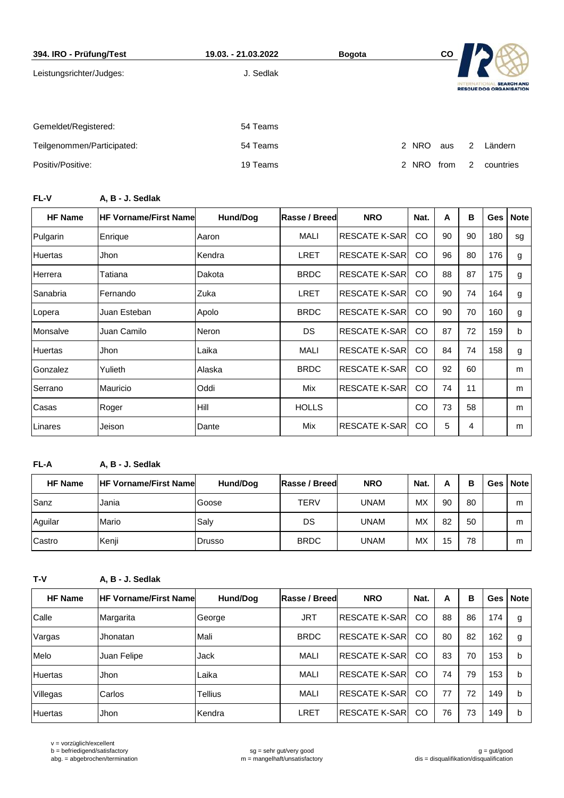| 394. IRO - Prüfung/Test    | 19.03. - 21.03.2022 | <b>Bogota</b> |       | CO   |                 |                                                     |
|----------------------------|---------------------|---------------|-------|------|-----------------|-----------------------------------------------------|
| Leistungsrichter/Judges:   | J. Sedlak           |               |       |      | <b>INTERNAT</b> | <b>SEARCH AND</b><br><b>RESCUE DOG ORGANISATION</b> |
| Gemeldet/Registered:       | 54 Teams            |               |       |      |                 |                                                     |
| Teilgenommen/Participated: | 54 Teams            |               | 2 NRO | aus  | 2               | Ländern                                             |
| Positiv/Positive:          | 19 Teams            |               | 2 NRO | trom | $\mathcal{P}$   | countries                                           |

## **FL-V A, B - J. Sedlak**

| <b>HF Name</b> | <b>HF Vorname/First Namel</b> | Hund/Dog | <b>Rasse / Breed</b> | <b>NRO</b>           | Nat.          | A  | в  | Ges I | <b>Note</b> |
|----------------|-------------------------------|----------|----------------------|----------------------|---------------|----|----|-------|-------------|
| Pulgarin       | Enrique                       | Aaron    | MALI                 | <b>RESCATE K-SAR</b> | <sub>CO</sub> | 90 | 90 | 180   | sg          |
| <b>Huertas</b> | Jhon                          | Kendra   | LRET                 | <b>RESCATE K-SAR</b> | CO            | 96 | 80 | 176   | g           |
| Herrera        | Tatiana                       | Dakota   | <b>BRDC</b>          | <b>RESCATE K-SAR</b> | CO            | 88 | 87 | 175   | g           |
| Sanabria       | Fernando                      | Zuka     | <b>LRET</b>          | <b>RESCATE K-SAR</b> | CO            | 90 | 74 | 164   | g           |
| Lopera         | Juan Esteban                  | Apolo    | <b>BRDC</b>          | <b>RESCATE K-SAR</b> | CO            | 90 | 70 | 160   | g           |
| Monsalve       | Juan Camilo                   | Neron    | DS.                  | <b>RESCATE K-SAR</b> | <sub>CO</sub> | 87 | 72 | 159   | b           |
| <b>Huertas</b> | Jhon                          | Laika    | MALI                 | <b>RESCATE K-SAR</b> | <sub>CO</sub> | 84 | 74 | 158   | g           |
| Gonzalez       | Yulieth                       | Alaska   | <b>BRDC</b>          | <b>RESCATE K-SAR</b> | <sub>CO</sub> | 92 | 60 |       | m           |
| Serrano        | Mauricio                      | Oddi     | Mix                  | <b>RESCATE K-SAR</b> | <sub>CO</sub> | 74 | 11 |       | m           |
| Casas          | Roger                         | Hill     | <b>HOLLS</b>         |                      | CO            | 73 | 58 |       | m           |
| Linares        | Jeison                        | Dante    | Mix                  | <b>RESCATE K-SAR</b> | <sub>CO</sub> | 5  | 4  |       | m           |

## **FL-A A, B - J. Sedlak**

| <b>HF Name</b> | <b>HF Vorname/First Namel</b> | Hund/Dog | Rasse / Breed | <b>NRO</b> | Nat.      | А  | в  | Ges   Note |
|----------------|-------------------------------|----------|---------------|------------|-----------|----|----|------------|
| Sanz           | Jania                         | Goose    | TERV          | UNAM       | MX        | 90 | 80 | m          |
| Aguilar        | Mario                         | Salv     | DS            | UNAM       | <b>MX</b> | 82 | 50 | m          |
| Castro         | Kenji                         | Drusso   | <b>BRDC</b>   | UNAM       | МX        | 15 | 78 | m          |

**T-V A, B - J. Sedlak**

| <b>HF Name</b> | <b>HF Vorname/First Namel</b> | Hund/Dog | Rasse / Breed | <b>NRO</b>            | Nat. | A  | в  | <b>Ges</b> | <b>Note</b> |
|----------------|-------------------------------|----------|---------------|-----------------------|------|----|----|------------|-------------|
| Calle          | Margarita                     | George   | <b>JRT</b>    | <b>RESCATE K-SAR</b>  | CO   | 88 | 86 | 174        | g           |
| Vargas         | Jhonatan                      | Mali     | <b>BRDC</b>   | IRESCATE K-SARI       | CO   | 80 | 82 | 162        | g           |
| Melo           | Juan Felipe                   | Jack     | MALI          | IRESCATE K-SARI       | CO   | 83 | 70 | 153        | b           |
| <b>Huertas</b> | Jhon                          | Laika    | MALI          | <b>RESCATE K-SAR</b>  | CO   | 74 | 79 | 153        | b           |
| Villegas       | Carlos                        | Tellius  | MALI          | RESCATE K-SARİ        | CO   | 77 | 72 | 149        | b           |
| Huertas        | Jhon                          | Kendra   | LRET          | <b>RESCATE K-SARI</b> | CO   | 76 | 73 | 149        | b           |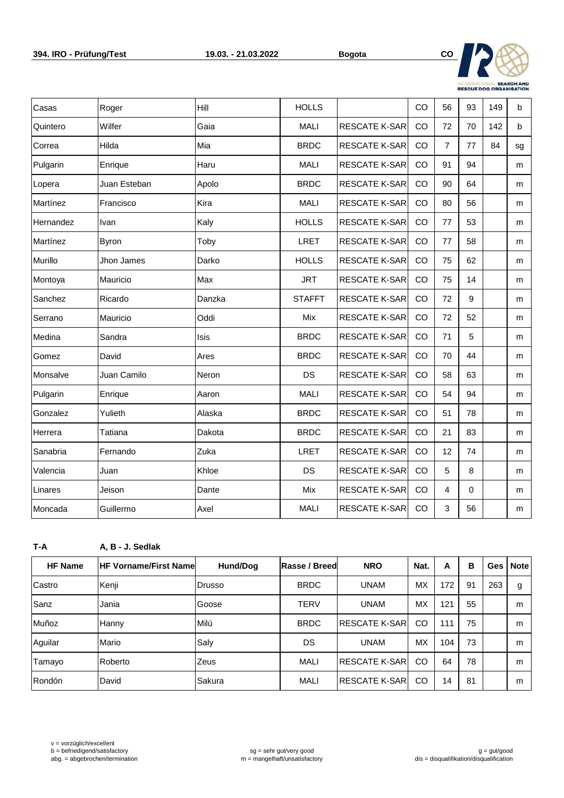

| Casas     | Roger        | Hill        | <b>HOLLS</b>  |                      | CO | 56             | 93       | 149 | b            |
|-----------|--------------|-------------|---------------|----------------------|----|----------------|----------|-----|--------------|
| Quintero  | Wilfer       | Gaia        | <b>MALI</b>   | <b>RESCATE K-SAR</b> | CO | 72             | 70       | 142 | $\mathsf{b}$ |
| Correa    | Hilda        | Mia         | <b>BRDC</b>   | <b>RESCATE K-SAR</b> | CO | $\overline{7}$ | 77       | 84  | sg           |
| Pulgarin  | Enrique      | Haru        | <b>MALI</b>   | <b>RESCATE K-SAR</b> | CO | 91             | 94       |     | m            |
| Lopera    | Juan Esteban | Apolo       | <b>BRDC</b>   | <b>RESCATE K-SAR</b> | CO | 90             | 64       |     | m            |
| Martínez  | Francisco    | Kira        | <b>MALI</b>   | <b>RESCATE K-SAR</b> | CO | 80             | 56       |     | m            |
| Hernandez | Ivan         | Kaly        | <b>HOLLS</b>  | <b>RESCATE K-SAR</b> | CO | 77             | 53       |     | m            |
| Martínez  | <b>Byron</b> | Toby        | <b>LRET</b>   | <b>RESCATE K-SAR</b> | CO | 77             | 58       |     | m            |
| Murillo   | Jhon James   | Darko       | <b>HOLLS</b>  | <b>RESCATE K-SAR</b> | CO | 75             | 62       |     | m            |
| Montoya   | Mauricio     | Max         | <b>JRT</b>    | <b>RESCATE K-SAR</b> | CO | 75             | 14       |     | m            |
| Sanchez   | Ricardo      | Danzka      | <b>STAFFT</b> | <b>RESCATE K-SAR</b> | CO | 72             | 9        |     | m            |
| Serrano   | Mauricio     | Oddi        | Mix           | <b>RESCATE K-SAR</b> | CO | 72             | 52       |     | m            |
| Medina    | Sandra       | <b>Isis</b> | <b>BRDC</b>   | <b>RESCATE K-SAR</b> | CO | 71             | 5        |     | m            |
| Gomez     | David        | Ares        | <b>BRDC</b>   | <b>RESCATE K-SAR</b> | CO | 70             | 44       |     | m            |
| Monsalve  | Juan Camilo  | Neron       | DS            | <b>RESCATE K-SAR</b> | CO | 58             | 63       |     | m            |
| Pulgarin  | Enrique      | Aaron       | <b>MALI</b>   | <b>RESCATE K-SAR</b> | CO | 54             | 94       |     | m            |
| Gonzalez  | Yulieth      | Alaska      | <b>BRDC</b>   | <b>RESCATE K-SAR</b> | CO | 51             | 78       |     | m            |
| Herrera   | Tatiana      | Dakota      | <b>BRDC</b>   | RESCATE K-SAR        | CO | 21             | 83       |     | m            |
| Sanabria  | Fernando     | Zuka        | <b>LRET</b>   | <b>RESCATE K-SAR</b> | CO | 12             | 74       |     | m            |
| Valencia  | Juan         | Khloe       | DS            | <b>RESCATE K-SAR</b> | CO | 5              | 8        |     | m            |
| Linares   | Jeison       | Dante       | Mix           | <b>RESCATE K-SAR</b> | CO | 4              | $\Omega$ |     | m            |
| Moncada   | Guillermo    | Axel        | <b>MALI</b>   | <b>RESCATE K-SAR</b> | CO | 3              | 56       |     | m            |

**T-A A, B - J. Sedlak**

| <b>HF Name</b> | <b>IHF Vorname/First Namel</b> | Hund/Dog       | Rasse / Breed | <b>NRO</b>      | Nat. | A   | в  | <b>Ges</b> | <b>Note</b> |
|----------------|--------------------------------|----------------|---------------|-----------------|------|-----|----|------------|-------------|
| Castro         | Kenji                          | <b>IDrusso</b> | <b>BRDC</b>   | <b>UNAM</b>     | MX   | 172 | 91 | 263        | g           |
| Sanz           | Jania                          | Goose          | <b>TERV</b>   | <b>UNAM</b>     | MX   | 121 | 55 |            | m           |
| Muñoz          | Hanny                          | Milú           | <b>BRDC</b>   | IRESCATE K-SARI | CO   | 111 | 75 |            | m           |
| Aguilar        | Mario                          | Saly           | DS            | <b>UNAM</b>     | MX   | 104 | 73 |            | m           |
| Tamayo         | Roberto                        | Zeus           | MALI          | IRESCATE K-SARI | CO   | 64  | 78 |            | m           |
| <b>Rondón</b>  | David                          | Sakura         | MALI          | IRESCATE K-SARI | CO   | 14  | 81 |            | m           |